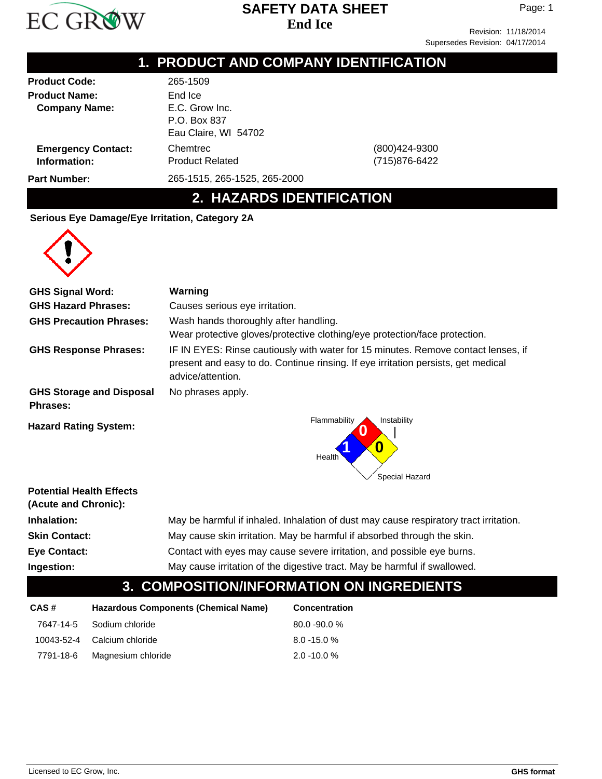

Supersedes Revision: 04/17/2014

# **1. PRODUCT AND COMPANY IDENTIFICATION**

| <b>Product Code:</b> |
|----------------------|
| <b>Product Name:</b> |
| <b>Company Name:</b> |
|                      |

**Product Code:** 265-1509 **End Ice** E.C. Grow Inc. P.O. Box 837 Eau Claire, WI 54702 **Emergency Contact:** Chemtrec (800)424-9300 **Information:** Product Related (715)876-6422

**Part Number:** 265-1515, 265-1525, 265-2000

# **2. HAZARDS IDENTIFICATION**

**Serious Eye Damage/Eye Irritation, Category 2A**



| <b>GHS Signal Word:</b>                            | Warning                                                                                                                                                                                     |  |  |  |
|----------------------------------------------------|---------------------------------------------------------------------------------------------------------------------------------------------------------------------------------------------|--|--|--|
| <b>GHS Hazard Phrases:</b>                         | Causes serious eye irritation.                                                                                                                                                              |  |  |  |
| <b>GHS Precaution Phrases:</b>                     | Wash hands thoroughly after handling.<br>Wear protective gloves/protective clothing/eye protection/face protection.                                                                         |  |  |  |
| <b>GHS Response Phrases:</b>                       | IF IN EYES: Rinse cautiously with water for 15 minutes. Remove contact lenses, if<br>present and easy to do. Continue rinsing. If eye irritation persists, get medical<br>advice/attention. |  |  |  |
| <b>GHS Storage and Disposal</b><br><b>Phrases:</b> | No phrases apply.                                                                                                                                                                           |  |  |  |
| <b>Hazard Rating System:</b>                       | Flammability<br>Instability<br>0<br>Health<br>Special Hazard                                                                                                                                |  |  |  |
| <b>Potential Health Effects</b>                    |                                                                                                                                                                                             |  |  |  |
| (Acuto and Chronic).                               |                                                                                                                                                                                             |  |  |  |

|                      | 3. COMPOSITION/INFORMATION ON INGREDIENTS                                             |
|----------------------|---------------------------------------------------------------------------------------|
| Ingestion:           | May cause irritation of the digestive tract. May be harmful if swallowed.             |
| <b>Eye Contact:</b>  | Contact with eyes may cause severe irritation, and possible eye burns.                |
| <b>Skin Contact:</b> | May cause skin irritation. May be harmful if absorbed through the skin.               |
| Inhalation:          | May be harmful if inhaled. Inhalation of dust may cause respiratory tract irritation. |
| (Acute and Unionic). |                                                                                       |

| CAS# | Hazardous Components (Chemical Name) | <b>Concentration</b> |
|------|--------------------------------------|----------------------|
|      | 7647-14-5 Sodium chloride            | $80.0 - 90.0 %$      |
|      | 10043-52-4 Calcium chloride          | $8.0 - 15.0 %$       |
|      | 7791-18-6 Magnesium chloride         | $2.0 - 10.0 %$       |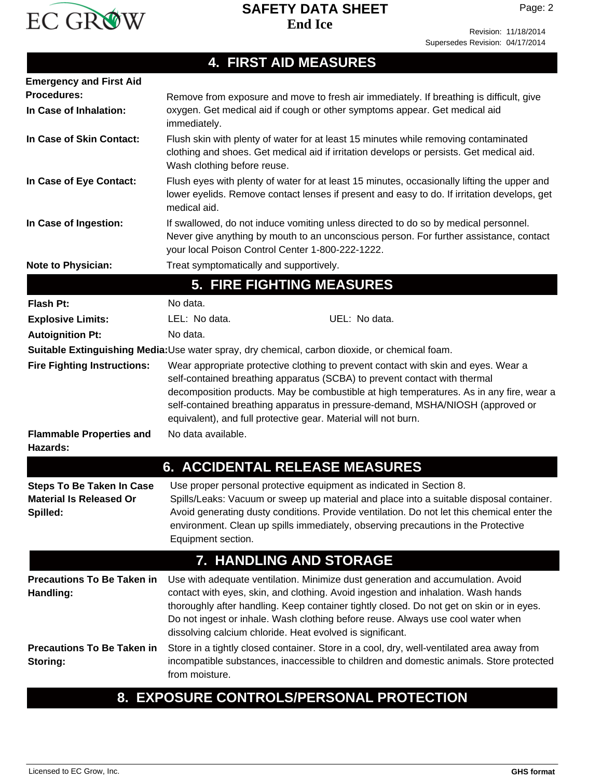

Page: 2

### **4. FIRST AID MEASURES**

|                                                                                | 4. FIRƏI AID MEAƏUREƏ                                                                                                                                                                                                                                                                                                                                                                                            |  |  |  |  |  |
|--------------------------------------------------------------------------------|------------------------------------------------------------------------------------------------------------------------------------------------------------------------------------------------------------------------------------------------------------------------------------------------------------------------------------------------------------------------------------------------------------------|--|--|--|--|--|
| <b>Emergency and First Aid</b>                                                 |                                                                                                                                                                                                                                                                                                                                                                                                                  |  |  |  |  |  |
| <b>Procedures:</b>                                                             | Remove from exposure and move to fresh air immediately. If breathing is difficult, give                                                                                                                                                                                                                                                                                                                          |  |  |  |  |  |
| In Case of Inhalation:                                                         | oxygen. Get medical aid if cough or other symptoms appear. Get medical aid<br>immediately.                                                                                                                                                                                                                                                                                                                       |  |  |  |  |  |
| In Case of Skin Contact:                                                       | Flush skin with plenty of water for at least 15 minutes while removing contaminated<br>clothing and shoes. Get medical aid if irritation develops or persists. Get medical aid.<br>Wash clothing before reuse.                                                                                                                                                                                                   |  |  |  |  |  |
| In Case of Eye Contact:                                                        | Flush eyes with plenty of water for at least 15 minutes, occasionally lifting the upper and<br>lower eyelids. Remove contact lenses if present and easy to do. If irritation develops, get<br>medical aid.                                                                                                                                                                                                       |  |  |  |  |  |
| In Case of Ingestion:                                                          | If swallowed, do not induce vomiting unless directed to do so by medical personnel.<br>Never give anything by mouth to an unconscious person. For further assistance, contact<br>your local Poison Control Center 1-800-222-1222.                                                                                                                                                                                |  |  |  |  |  |
| <b>Note to Physician:</b>                                                      | Treat symptomatically and supportively.                                                                                                                                                                                                                                                                                                                                                                          |  |  |  |  |  |
|                                                                                | <b>5. FIRE FIGHTING MEASURES</b>                                                                                                                                                                                                                                                                                                                                                                                 |  |  |  |  |  |
| <b>Flash Pt:</b>                                                               | No data.                                                                                                                                                                                                                                                                                                                                                                                                         |  |  |  |  |  |
| <b>Explosive Limits:</b>                                                       | UEL: No data.<br>LEL: No data.                                                                                                                                                                                                                                                                                                                                                                                   |  |  |  |  |  |
| <b>Autoignition Pt:</b>                                                        | No data.                                                                                                                                                                                                                                                                                                                                                                                                         |  |  |  |  |  |
|                                                                                | Suitable Extinguishing Media: Use water spray, dry chemical, carbon dioxide, or chemical foam.                                                                                                                                                                                                                                                                                                                   |  |  |  |  |  |
| <b>Fire Fighting Instructions:</b>                                             | Wear appropriate protective clothing to prevent contact with skin and eyes. Wear a<br>self-contained breathing apparatus (SCBA) to prevent contact with thermal<br>decomposition products. May be combustible at high temperatures. As in any fire, wear a<br>self-contained breathing apparatus in pressure-demand, MSHA/NIOSH (approved or<br>equivalent), and full protective gear. Material will not burn.   |  |  |  |  |  |
| <b>Flammable Properties and</b><br>Hazards:                                    | No data available.                                                                                                                                                                                                                                                                                                                                                                                               |  |  |  |  |  |
|                                                                                | <b>6. ACCIDENTAL RELEASE MEASURES</b>                                                                                                                                                                                                                                                                                                                                                                            |  |  |  |  |  |
| <b>Steps To Be Taken In Case</b><br><b>Material Is Released Or</b><br>Spilled: | Use proper personal protective equipment as indicated in Section 8.<br>Spills/Leaks: Vacuum or sweep up material and place into a suitable disposal container.<br>Avoid generating dusty conditions. Provide ventilation. Do not let this chemical enter the<br>environment. Clean up spills immediately, observing precautions in the Protective<br>Equipment section.                                          |  |  |  |  |  |
|                                                                                | 7. HANDLING AND STORAGE                                                                                                                                                                                                                                                                                                                                                                                          |  |  |  |  |  |
| <b>Precautions To Be Taken in</b><br>Handling:                                 | Use with adequate ventilation. Minimize dust generation and accumulation. Avoid<br>contact with eyes, skin, and clothing. Avoid ingestion and inhalation. Wash hands<br>thoroughly after handling. Keep container tightly closed. Do not get on skin or in eyes.<br>Do not ingest or inhale. Wash clothing before reuse. Always use cool water when<br>dissolving calcium chloride. Heat evolved is significant. |  |  |  |  |  |
| <b>Precautions To Be Taken in</b><br>Storing:                                  | Store in a tightly closed container. Store in a cool, dry, well-ventilated area away from<br>incompatible substances, inaccessible to children and domestic animals. Store protected<br>from moisture.                                                                                                                                                                                                           |  |  |  |  |  |

# **8. EXPOSURE CONTROLS/PERSONAL PROTECTION**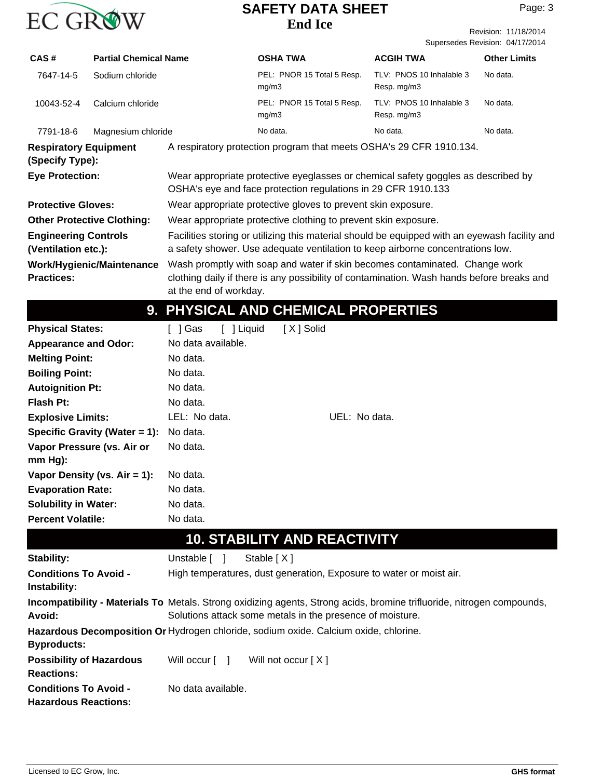

| LU UIW W                                             |                                   |                                                                                                                                                                                 |            | Elia Ice                                                                                                                                                                            |                                         |  | Revision: 11/18/2014                                   |
|------------------------------------------------------|-----------------------------------|---------------------------------------------------------------------------------------------------------------------------------------------------------------------------------|------------|-------------------------------------------------------------------------------------------------------------------------------------------------------------------------------------|-----------------------------------------|--|--------------------------------------------------------|
| CAS#                                                 | <b>Partial Chemical Name</b>      |                                                                                                                                                                                 |            | <b>OSHA TWA</b>                                                                                                                                                                     | <b>ACGIH TWA</b>                        |  | Supersedes Revision: 04/17/2014<br><b>Other Limits</b> |
|                                                      |                                   |                                                                                                                                                                                 |            | PEL: PNOR 15 Total 5 Resp.                                                                                                                                                          | TLV: PNOS 10 Inhalable 3                |  | No data.                                               |
| 7647-14-5                                            | Sodium chloride                   |                                                                                                                                                                                 |            | mg/m3                                                                                                                                                                               | Resp. mg/m3                             |  |                                                        |
| 10043-52-4                                           | Calcium chloride                  |                                                                                                                                                                                 |            | PEL: PNOR 15 Total 5 Resp.<br>mg/m3                                                                                                                                                 | TLV: PNOS 10 Inhalable 3<br>Resp. mg/m3 |  | No data.                                               |
| 7791-18-6                                            | Magnesium chloride                |                                                                                                                                                                                 |            | No data.                                                                                                                                                                            | No data.                                |  | No data.                                               |
| <b>Respiratory Equipment</b><br>(Specify Type):      |                                   |                                                                                                                                                                                 |            | A respiratory protection program that meets OSHA's 29 CFR 1910.134.                                                                                                                 |                                         |  |                                                        |
| <b>Eye Protection:</b>                               |                                   |                                                                                                                                                                                 |            | Wear appropriate protective eyeglasses or chemical safety goggles as described by<br>OSHA's eye and face protection regulations in 29 CFR 1910.133                                  |                                         |  |                                                        |
| <b>Protective Gloves:</b>                            |                                   |                                                                                                                                                                                 |            | Wear appropriate protective gloves to prevent skin exposure.                                                                                                                        |                                         |  |                                                        |
|                                                      | <b>Other Protective Clothing:</b> |                                                                                                                                                                                 |            | Wear appropriate protective clothing to prevent skin exposure.                                                                                                                      |                                         |  |                                                        |
| <b>Engineering Controls</b><br>(Ventilation etc.):   |                                   | Facilities storing or utilizing this material should be equipped with an eyewash facility and<br>a safety shower. Use adequate ventilation to keep airborne concentrations low. |            |                                                                                                                                                                                     |                                         |  |                                                        |
| <b>Practices:</b>                                    | Work/Hygienic/Maintenance         | at the end of workday.                                                                                                                                                          |            | Wash promptly with soap and water if skin becomes contaminated. Change work<br>clothing daily if there is any possibility of contamination. Wash hands before breaks and            |                                         |  |                                                        |
|                                                      |                                   |                                                                                                                                                                                 |            | 9. PHYSICAL AND CHEMICAL PROPERTIES                                                                                                                                                 |                                         |  |                                                        |
| <b>Physical States:</b>                              |                                   | [ ] Gas                                                                                                                                                                         | [ ] Liquid | [X] Solid                                                                                                                                                                           |                                         |  |                                                        |
| <b>Appearance and Odor:</b>                          |                                   | No data available.                                                                                                                                                              |            |                                                                                                                                                                                     |                                         |  |                                                        |
| <b>Melting Point:</b>                                |                                   | No data.                                                                                                                                                                        |            |                                                                                                                                                                                     |                                         |  |                                                        |
| <b>Boiling Point:</b>                                |                                   | No data.                                                                                                                                                                        |            |                                                                                                                                                                                     |                                         |  |                                                        |
| <b>Autoignition Pt:</b>                              |                                   | No data.                                                                                                                                                                        |            |                                                                                                                                                                                     |                                         |  |                                                        |
| <b>Flash Pt:</b>                                     |                                   | No data.                                                                                                                                                                        |            |                                                                                                                                                                                     |                                         |  |                                                        |
| <b>Explosive Limits:</b>                             |                                   | LEL: No data.                                                                                                                                                                   |            |                                                                                                                                                                                     | UEL: No data.                           |  |                                                        |
|                                                      | Specific Gravity (Water = 1):     | No data.                                                                                                                                                                        |            |                                                                                                                                                                                     |                                         |  |                                                        |
|                                                      | Vapor Pressure (vs. Air or        | No data.                                                                                                                                                                        |            |                                                                                                                                                                                     |                                         |  |                                                        |
| $mm Hg$ :                                            |                                   |                                                                                                                                                                                 |            |                                                                                                                                                                                     |                                         |  |                                                        |
|                                                      | Vapor Density (vs. $Air = 1$ ):   | No data.                                                                                                                                                                        |            |                                                                                                                                                                                     |                                         |  |                                                        |
| <b>Evaporation Rate:</b>                             |                                   | No data.                                                                                                                                                                        |            |                                                                                                                                                                                     |                                         |  |                                                        |
| <b>Solubility in Water:</b>                          |                                   | No data.                                                                                                                                                                        |            |                                                                                                                                                                                     |                                         |  |                                                        |
| <b>Percent Volatile:</b>                             |                                   | No data.                                                                                                                                                                        |            |                                                                                                                                                                                     |                                         |  |                                                        |
|                                                      |                                   |                                                                                                                                                                                 |            | <b>10. STABILITY AND REACTIVITY</b>                                                                                                                                                 |                                         |  |                                                        |
| Stability:                                           |                                   | Unstable $\lceil \quad \rceil$                                                                                                                                                  |            | Stable [X]                                                                                                                                                                          |                                         |  |                                                        |
| <b>Conditions To Avoid -</b><br>Instability:         |                                   |                                                                                                                                                                                 |            | High temperatures, dust generation, Exposure to water or moist air.                                                                                                                 |                                         |  |                                                        |
| Avoid:                                               |                                   |                                                                                                                                                                                 |            | Incompatibility - Materials To Metals. Strong oxidizing agents, Strong acids, bromine trifluoride, nitrogen compounds,<br>Solutions attack some metals in the presence of moisture. |                                         |  |                                                        |
| <b>Byproducts:</b>                                   |                                   |                                                                                                                                                                                 |            | Hazardous Decomposition Or Hydrogen chloride, sodium oxide. Calcium oxide, chlorine.                                                                                                |                                         |  |                                                        |
| <b>Possibility of Hazardous</b><br><b>Reactions:</b> |                                   | Will occur $\lceil \quad \rceil$                                                                                                                                                |            | Will not occur [X]                                                                                                                                                                  |                                         |  |                                                        |
| <b>Conditions To Avoid -</b>                         |                                   | No data available.                                                                                                                                                              |            |                                                                                                                                                                                     |                                         |  |                                                        |

**Hazardous Reactions:**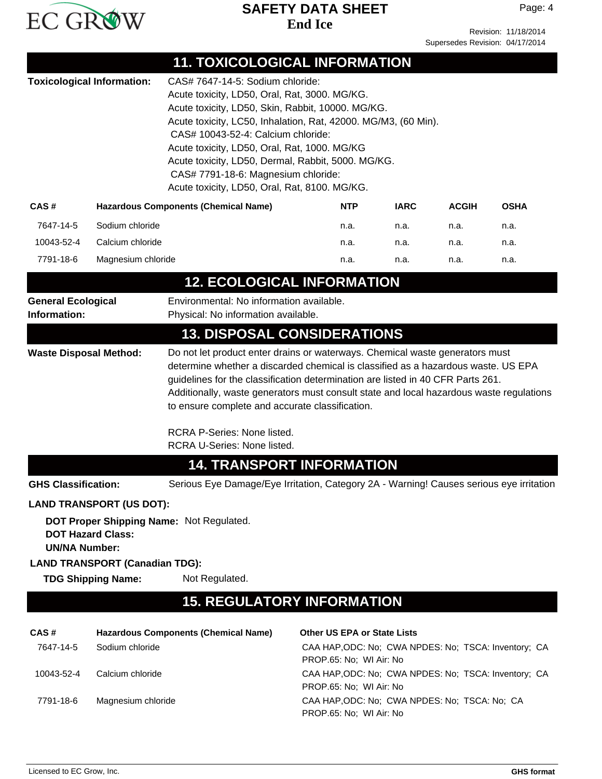

Page: 4

|                                 | 110721 |
|---------------------------------|--------|
| Supersedes Revision: 04/17/2014 |        |

|                                              |                                                                                                | <b>11. TOXICOLOGICAL INFORMATION</b>                                                                                                                                                                                                                                                                                                                                                                                                         |                                                                                                                                                                                                                                                           |             |              |             |  |
|----------------------------------------------|------------------------------------------------------------------------------------------------|----------------------------------------------------------------------------------------------------------------------------------------------------------------------------------------------------------------------------------------------------------------------------------------------------------------------------------------------------------------------------------------------------------------------------------------------|-----------------------------------------------------------------------------------------------------------------------------------------------------------------------------------------------------------------------------------------------------------|-------------|--------------|-------------|--|
|                                              | <b>Toxicological Information:</b>                                                              | CAS# 7647-14-5: Sodium chloride:<br>Acute toxicity, LD50, Oral, Rat, 3000. MG/KG.<br>Acute toxicity, LD50, Skin, Rabbit, 10000. MG/KG.<br>Acute toxicity, LC50, Inhalation, Rat, 42000. MG/M3, (60 Min).<br>CAS# 10043-52-4: Calcium chloride:<br>Acute toxicity, LD50, Oral, Rat, 1000. MG/KG<br>Acute toxicity, LD50, Dermal, Rabbit, 5000. MG/KG.<br>CAS# 7791-18-6: Magnesium chloride:<br>Acute toxicity, LD50, Oral, Rat, 8100. MG/KG. |                                                                                                                                                                                                                                                           |             |              |             |  |
| CAS#                                         |                                                                                                | <b>Hazardous Components (Chemical Name)</b>                                                                                                                                                                                                                                                                                                                                                                                                  | NTP                                                                                                                                                                                                                                                       | <b>IARC</b> | <b>ACGIH</b> | <b>OSHA</b> |  |
| 7647-14-5                                    | Sodium chloride                                                                                |                                                                                                                                                                                                                                                                                                                                                                                                                                              | n.a.                                                                                                                                                                                                                                                      | n.a.        | n.a.         | n.a.        |  |
| 10043-52-4                                   | Calcium chloride                                                                               |                                                                                                                                                                                                                                                                                                                                                                                                                                              | n.a.                                                                                                                                                                                                                                                      | n.a.        | n.a.         | n.a.        |  |
| 7791-18-6                                    | Magnesium chloride                                                                             |                                                                                                                                                                                                                                                                                                                                                                                                                                              | n.a.                                                                                                                                                                                                                                                      | n.a.        | n.a.         | n.a.        |  |
|                                              |                                                                                                | <b>12. ECOLOGICAL INFORMATION</b>                                                                                                                                                                                                                                                                                                                                                                                                            |                                                                                                                                                                                                                                                           |             |              |             |  |
| <b>General Ecological</b><br>Information:    |                                                                                                | Environmental: No information available.<br>Physical: No information available.                                                                                                                                                                                                                                                                                                                                                              |                                                                                                                                                                                                                                                           |             |              |             |  |
|                                              |                                                                                                | <b>13. DISPOSAL CONSIDERATIONS</b>                                                                                                                                                                                                                                                                                                                                                                                                           |                                                                                                                                                                                                                                                           |             |              |             |  |
|                                              |                                                                                                | determine whether a discarded chemical is classified as a hazardous waste. US EPA<br>guidelines for the classification determination are listed in 40 CFR Parts 261.<br>Additionally, waste generators must consult state and local hazardous waste regulations<br>to ensure complete and accurate classification.<br>RCRA P-Series: None listed.<br><b>RCRA U-Series: None listed.</b><br><b>14. TRANSPORT INFORMATION</b>                  |                                                                                                                                                                                                                                                           |             |              |             |  |
| <b>GHS Classification:</b>                   |                                                                                                | Serious Eye Damage/Eye Irritation, Category 2A - Warning! Causes serious eye irritation                                                                                                                                                                                                                                                                                                                                                      |                                                                                                                                                                                                                                                           |             |              |             |  |
|                                              | <b>LAND TRANSPORT (US DOT):</b>                                                                |                                                                                                                                                                                                                                                                                                                                                                                                                                              |                                                                                                                                                                                                                                                           |             |              |             |  |
| <b>UN/NA Number:</b>                         | <b>DOT Hazard Class:</b><br><b>LAND TRANSPORT (Canadian TDG):</b><br><b>TDG Shipping Name:</b> | DOT Proper Shipping Name: Not Regulated.<br>Not Regulated.                                                                                                                                                                                                                                                                                                                                                                                   |                                                                                                                                                                                                                                                           |             |              |             |  |
|                                              |                                                                                                | <b>15. REGULATORY INFORMATION</b>                                                                                                                                                                                                                                                                                                                                                                                                            |                                                                                                                                                                                                                                                           |             |              |             |  |
| CAS#<br>7647-14-5<br>10043-52-4<br>7791-18-6 | Sodium chloride<br>Calcium chloride<br>Magnesium chloride                                      | <b>Hazardous Components (Chemical Name)</b>                                                                                                                                                                                                                                                                                                                                                                                                  | <b>Other US EPA or State Lists</b><br>CAA HAP, ODC: No; CWA NPDES: No; TSCA: Inventory; CA<br>PROP.65: No; WI Air: No<br>CAA HAP, ODC: No; CWA NPDES: No; TSCA: Inventory; CA<br>PROP.65: No; WI Air: No<br>CAA HAP, ODC: No; CWA NPDES: No; TSCA: No; CA |             |              |             |  |
|                                              |                                                                                                |                                                                                                                                                                                                                                                                                                                                                                                                                                              | PROP.65: No; WI Air: No                                                                                                                                                                                                                                   |             |              |             |  |